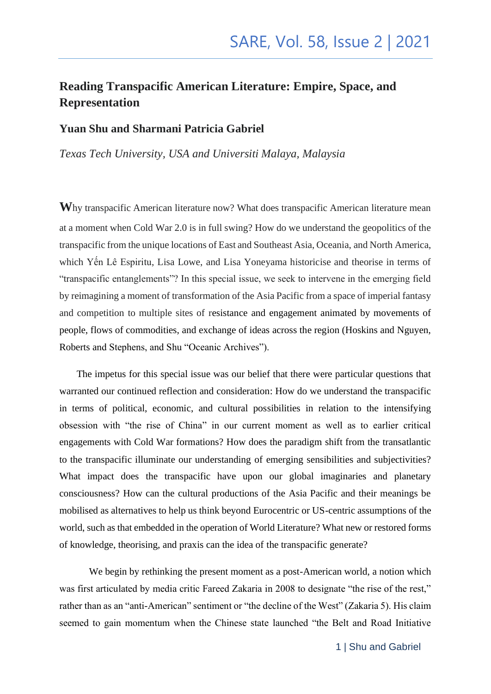#### **Reading Transpacific American Literature: Empire, Space, and Representation**

#### **Yuan Shu and Sharmani Patricia Gabriel**

*Texas Tech University, USA and Universiti Malaya, Malaysia*

**W**hy transpacific American literature now? What does transpacific American literature mean at a moment when Cold War 2.0 is in full swing? How do we understand the geopolitics of the transpacific from the unique locations of East and Southeast Asia, Oceania, and North America, which Yến Lê Espiritu, Lisa Lowe, and Lisa Yoneyama historicise and theorise in terms of "transpacific entanglements"? In this special issue, we seek to intervene in the emerging field by reimagining a moment of transformation of the Asia Pacific from a space of imperial fantasy and competition to multiple sites of resistance and engagement animated by movements of people, flows of commodities, and exchange of ideas across the region (Hoskins and Nguyen, Roberts and Stephens, and Shu "Oceanic Archives").

 The impetus for this special issue was our belief that there were particular questions that warranted our continued reflection and consideration: How do we understand the transpacific in terms of political, economic, and cultural possibilities in relation to the intensifying obsession with "the rise of China" in our current moment as well as to earlier critical engagements with Cold War formations? How does the paradigm shift from the transatlantic to the transpacific illuminate our understanding of emerging sensibilities and subjectivities? What impact does the transpacific have upon our global imaginaries and planetary consciousness? How can the cultural productions of the Asia Pacific and their meanings be mobilised as alternatives to help us think beyond Eurocentric or US-centric assumptions of the world, such as that embedded in the operation of World Literature? What new or restored forms of knowledge, theorising, and praxis can the idea of the transpacific generate?

We begin by rethinking the present moment as a post-American world, a notion which was first articulated by media critic Fareed Zakaria in 2008 to designate "the rise of the rest," rather than as an "anti-American" sentiment or "the decline of the West" (Zakaria 5). His claim seemed to gain momentum when the Chinese state launched "the Belt and Road Initiative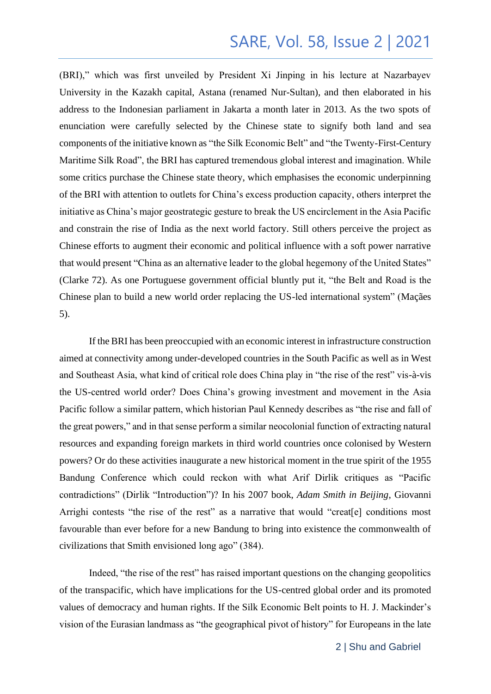(BRI)," which was first unveiled by President Xi Jinping in his lecture at Nazarbayev University in the Kazakh capital, Astana (renamed Nur-Sultan), and then elaborated in his address to the Indonesian parliament in Jakarta a month later in 2013. As the two spots of enunciation were carefully selected by the Chinese state to signify both land and sea components of the initiative known as "the Silk Economic Belt" and "the Twenty-First-Century Maritime Silk Road", the BRI has captured tremendous global interest and imagination. While some critics purchase the Chinese state theory, which emphasises the economic underpinning of the BRI with attention to outlets for China's excess production capacity, others interpret the initiative as China's major geostrategic gesture to break the US encirclement in the Asia Pacific and constrain the rise of India as the next world factory. Still others perceive the project as Chinese efforts to augment their economic and political influence with a soft power narrative that would present "China as an alternative leader to the global hegemony of the United States" (Clarke 72). As one Portuguese government official bluntly put it, "the Belt and Road is the Chinese plan to build a new world order replacing the US-led international system" (Maçães 5).

If the BRI has been preoccupied with an economic interest in infrastructure construction aimed at connectivity among under-developed countries in the South Pacific as well as in West and Southeast Asia, what kind of critical role does China play in "the rise of the rest" vis-à-vis the US-centred world order? Does China's growing investment and movement in the Asia Pacific follow a similar pattern, which historian Paul Kennedy describes as "the rise and fall of the great powers," and in that sense perform a similar neocolonial function of extracting natural resources and expanding foreign markets in third world countries once colonised by Western powers? Or do these activities inaugurate a new historical moment in the true spirit of the 1955 Bandung Conference which could reckon with what Arif Dirlik critiques as "Pacific contradictions" (Dirlik "Introduction")? In his 2007 book, *Adam Smith in Beijing*, Giovanni Arrighi contests "the rise of the rest" as a narrative that would "creat[e] conditions most favourable than ever before for a new Bandung to bring into existence the commonwealth of civilizations that Smith envisioned long ago" (384).

Indeed, "the rise of the rest" has raised important questions on the changing geopolitics of the transpacific, which have implications for the US-centred global order and its promoted values of democracy and human rights. If the Silk Economic Belt points to H. J. Mackinder's vision of the Eurasian landmass as "the geographical pivot of history" for Europeans in the late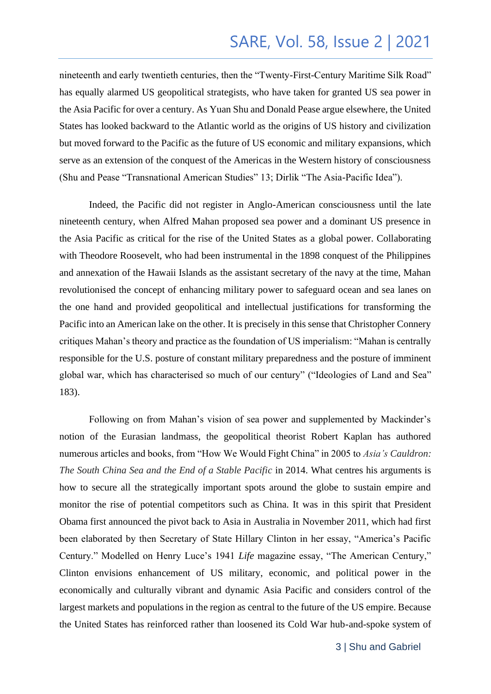nineteenth and early twentieth centuries, then the "Twenty-First-Century Maritime Silk Road" has equally alarmed US geopolitical strategists, who have taken for granted US sea power in the Asia Pacific for over a century. As Yuan Shu and Donald Pease argue elsewhere, the United States has looked backward to the Atlantic world as the origins of US history and civilization but moved forward to the Pacific as the future of US economic and military expansions, which serve as an extension of the conquest of the Americas in the Western history of consciousness (Shu and Pease "Transnational American Studies" 13; Dirlik "The Asia-Pacific Idea").

Indeed, the Pacific did not register in Anglo-American consciousness until the late nineteenth century, when Alfred Mahan proposed sea power and a dominant US presence in the Asia Pacific as critical for the rise of the United States as a global power. Collaborating with Theodore Roosevelt, who had been instrumental in the 1898 conquest of the Philippines and annexation of the Hawaii Islands as the assistant secretary of the navy at the time, Mahan revolutionised the concept of enhancing military power to safeguard ocean and sea lanes on the one hand and provided geopolitical and intellectual justifications for transforming the Pacific into an American lake on the other. It is precisely in this sense that Christopher Connery critiques Mahan's theory and practice as the foundation of US imperialism: "Mahan is centrally responsible for the U.S. posture of constant military preparedness and the posture of imminent global war, which has characterised so much of our century" ("Ideologies of Land and Sea" 183).

Following on from Mahan's vision of sea power and supplemented by Mackinder's notion of the Eurasian landmass, the geopolitical theorist Robert Kaplan has authored numerous articles and books, from "How We Would Fight China" in 2005 to *Asia's Cauldron: The South China Sea and the End of a Stable Pacific* in 2014. What centres his arguments is how to secure all the strategically important spots around the globe to sustain empire and monitor the rise of potential competitors such as China. It was in this spirit that President Obama first announced the pivot back to Asia in Australia in November 2011, which had first been elaborated by then Secretary of State Hillary Clinton in her essay, "America's Pacific Century." Modelled on Henry Luce's 1941 *Life* magazine essay, "The American Century," Clinton envisions enhancement of US military, economic, and political power in the economically and culturally vibrant and dynamic Asia Pacific and considers control of the largest markets and populations in the region as central to the future of the US empire. Because the United States has reinforced rather than loosened its Cold War hub-and-spoke system of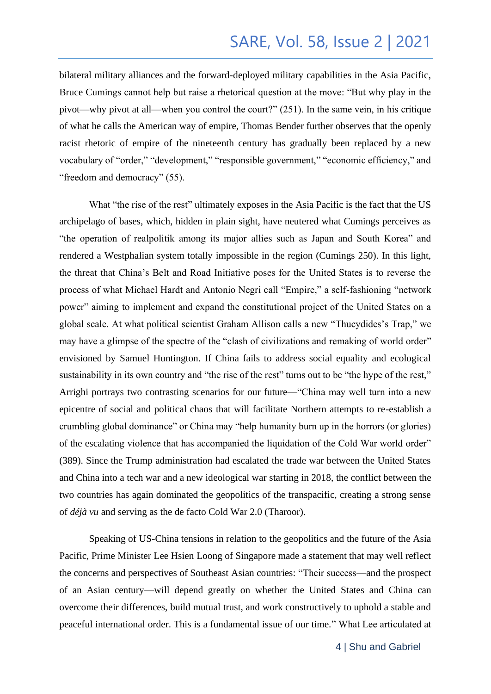bilateral military alliances and the forward-deployed military capabilities in the Asia Pacific, Bruce Cumings cannot help but raise a rhetorical question at the move: "But why play in the pivot—why pivot at all—when you control the court?" (251). In the same vein, in his critique of what he calls the American way of empire, Thomas Bender further observes that the openly racist rhetoric of empire of the nineteenth century has gradually been replaced by a new vocabulary of "order," "development," "responsible government," "economic efficiency," and "freedom and democracy" (55).

What "the rise of the rest" ultimately exposes in the Asia Pacific is the fact that the US archipelago of bases, which, hidden in plain sight, have neutered what Cumings perceives as "the operation of realpolitik among its major allies such as Japan and South Korea" and rendered a Westphalian system totally impossible in the region (Cumings 250). In this light, the threat that China's Belt and Road Initiative poses for the United States is to reverse the process of what Michael Hardt and Antonio Negri call "Empire," a self-fashioning "network power" aiming to implement and expand the constitutional project of the United States on a global scale. At what political scientist Graham Allison calls a new "Thucydides's Trap," we may have a glimpse of the spectre of the "clash of civilizations and remaking of world order" envisioned by Samuel Huntington. If China fails to address social equality and ecological sustainability in its own country and "the rise of the rest" turns out to be "the hype of the rest," Arrighi portrays two contrasting scenarios for our future—"China may well turn into a new epicentre of social and political chaos that will facilitate Northern attempts to re-establish a crumbling global dominance" or China may "help humanity burn up in the horrors (or glories) of the escalating violence that has accompanied the liquidation of the Cold War world order" (389). Since the Trump administration had escalated the trade war between the United States and China into a tech war and a new ideological war starting in 2018, the conflict between the two countries has again dominated the geopolitics of the transpacific, creating a strong sense of *déjà vu* and serving as the de facto Cold War 2.0 (Tharoor).

Speaking of US-China tensions in relation to the geopolitics and the future of the Asia Pacific, Prime Minister Lee Hsien Loong of Singapore made a statement that may well reflect the concerns and perspectives of Southeast Asian countries: "Their success—and the prospect of an Asian century—will depend greatly on whether the United States and China can overcome their differences, build mutual trust, and work constructively to uphold a stable and peaceful international order. This is a fundamental issue of our time." What Lee articulated at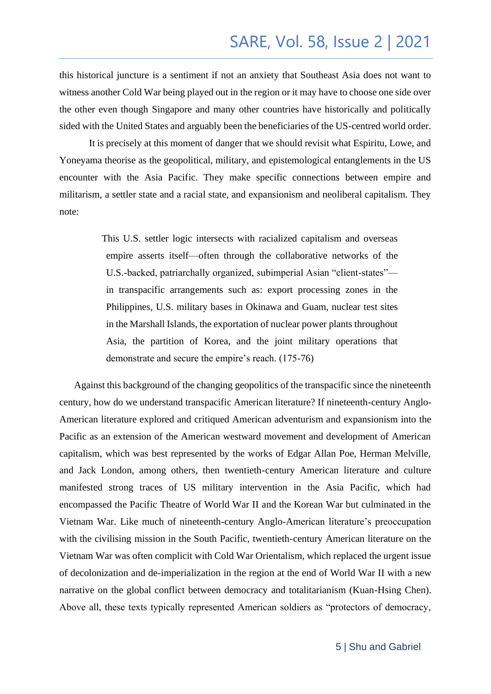this historical juncture is a sentiment if not an anxiety that Southeast Asia does not want to witness another Cold War being played out in the region or it may have to choose one side over the other even though Singapore and many other countries have historically and politically sided with the United States and arguably been the beneficiaries of the US-centred world order.

It is precisely at this moment of danger that we should revisit what Espiritu, Lowe, and Yoneyama theorise as the geopolitical, military, and epistemological entanglements in the US encounter with the Asia Pacific. They make specific connections between empire and militarism, a settler state and a racial state, and expansionism and neoliberal capitalism. They note:

> This U.S. settler logic intersects with racialized capitalism and overseas empire asserts itself—often through the collaborative networks of the U.S.-backed, patriarchally organized, subimperial Asian "client-states" in transpacific arrangements such as: export processing zones in the Philippines, U.S. military bases in Okinawa and Guam, nuclear test sites in the Marshall Islands, the exportation of nuclear power plants throughout Asia, the partition of Korea, and the joint military operations that demonstrate and secure the empire's reach. (175-76)

 Against this background of the changing geopolitics of the transpacific since the nineteenth century, how do we understand transpacific American literature? If nineteenth-century Anglo-American literature explored and critiqued American adventurism and expansionism into the Pacific as an extension of the American westward movement and development of American capitalism, which was best represented by the works of Edgar Allan Poe, Herman Melville, and Jack London, among others, then twentieth-century American literature and culture manifested strong traces of US military intervention in the Asia Pacific, which had encompassed the Pacific Theatre of World War II and the Korean War but culminated in the Vietnam War. Like much of nineteenth-century Anglo-American literature's preoccupation with the civilising mission in the South Pacific, twentieth-century American literature on the Vietnam War was often complicit with Cold War Orientalism, which replaced the urgent issue of decolonization and de-imperialization in the region at the end of World War II with a new narrative on the global conflict between democracy and totalitarianism (Kuan-Hsing Chen). Above all, these texts typically represented American soldiers as "protectors of democracy,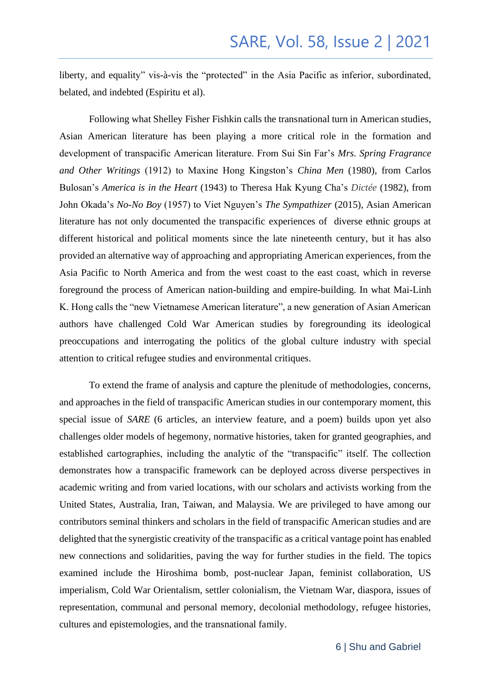liberty, and equality" vis-à-vis the "protected" in the Asia Pacific as inferior, subordinated, belated, and indebted (Espiritu et al).

Following what Shelley Fisher Fishkin calls the transnational turn in American studies, Asian American literature has been playing a more critical role in the formation and development of transpacific American literature. From Sui Sin Far's *Mrs. Spring Fragrance and Other Writings* (1912) to Maxine Hong Kingston's *China Men* (1980), from Carlos Bulosan's *America is in the Heart* (1943) to Theresa Hak Kyung Cha's *Dictée* (1982), from John Okada's *No-No Boy* (1957) to Viet Nguyen's *The Sympathizer* (2015), Asian American literature has not only documented the transpacific experiences of diverse ethnic groups at different historical and political moments since the late nineteenth century, but it has also provided an alternative way of approaching and appropriating American experiences, from the Asia Pacific to North America and from the west coast to the east coast, which in reverse foreground the process of American nation-building and empire-building. In what Mai-Linh K. Hong calls the "new Vietnamese American literature", a new generation of Asian American authors have challenged Cold War American studies by foregrounding its ideological preoccupations and interrogating the politics of the global culture industry with special attention to critical refugee studies and environmental critiques.

To extend the frame of analysis and capture the plenitude of methodologies, concerns, and approaches in the field of transpacific American studies in our contemporary moment, this special issue of *SARE* (6 articles, an interview feature, and a poem) builds upon yet also challenges older models of hegemony, normative histories, taken for granted geographies, and established cartographies, including the analytic of the "transpacific" itself. The collection demonstrates how a transpacific framework can be deployed across diverse perspectives in academic writing and from varied locations, with our scholars and activists working from the United States, Australia, Iran, Taiwan, and Malaysia. We are privileged to have among our contributors seminal thinkers and scholars in the field of transpacific American studies and are delighted that the synergistic creativity of the transpacific as a critical vantage point has enabled new connections and solidarities, paving the way for further studies in the field. The topics examined include the Hiroshima bomb, post-nuclear Japan, feminist collaboration, US imperialism, Cold War Orientalism, settler colonialism, the Vietnam War, diaspora, issues of representation, communal and personal memory, decolonial methodology, refugee histories, cultures and epistemologies, and the transnational family.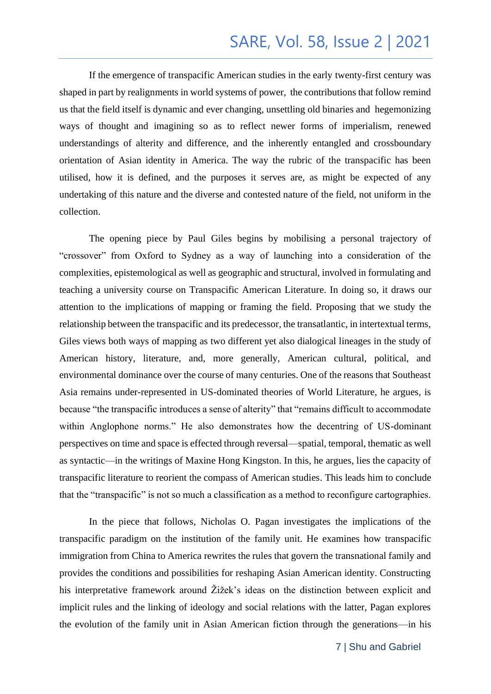If the emergence of transpacific American studies in the early twenty-first century was shaped in part by realignments in world systems of power, the contributions that follow remind us that the field itself is dynamic and ever changing, unsettling old binaries and hegemonizing ways of thought and imagining so as to reflect newer forms of imperialism, renewed understandings of alterity and difference, and the inherently entangled and crossboundary orientation of Asian identity in America. The way the rubric of the transpacific has been utilised, how it is defined, and the purposes it serves are, as might be expected of any undertaking of this nature and the diverse and contested nature of the field, not uniform in the collection.

The opening piece by Paul Giles begins by mobilising a personal trajectory of "crossover" from Oxford to Sydney as a way of launching into a consideration of the complexities, epistemological as well as geographic and structural, involved in formulating and teaching a university course on Transpacific American Literature. In doing so, it draws our attention to the implications of mapping or framing the field. Proposing that we study the relationship between the transpacific and its predecessor, the transatlantic, in intertextual terms, Giles views both ways of mapping as two different yet also dialogical lineages in the study of American history, literature, and, more generally, American cultural, political, and environmental dominance over the course of many centuries. One of the reasons that Southeast Asia remains under-represented in US-dominated theories of World Literature, he argues, is because "the transpacific introduces a sense of alterity" that "remains difficult to accommodate within Anglophone norms." He also demonstrates how the decentring of US-dominant perspectives on time and space is effected through reversal—spatial, temporal, thematic as well as syntactic—in the writings of Maxine Hong Kingston. In this, he argues, lies the capacity of transpacific literature to reorient the compass of American studies. This leads him to conclude that the "transpacific" is not so much a classification as a method to reconfigure cartographies.

In the piece that follows, Nicholas O. Pagan investigates the implications of the transpacific paradigm on the institution of the family unit. He examines how transpacific immigration from China to America rewrites the rules that govern the transnational family and provides the conditions and possibilities for reshaping Asian American identity. Constructing his interpretative framework around Žižek's ideas on the distinction between explicit and implicit rules and the linking of ideology and social relations with the latter, Pagan explores the evolution of the family unit in Asian American fiction through the generations—in his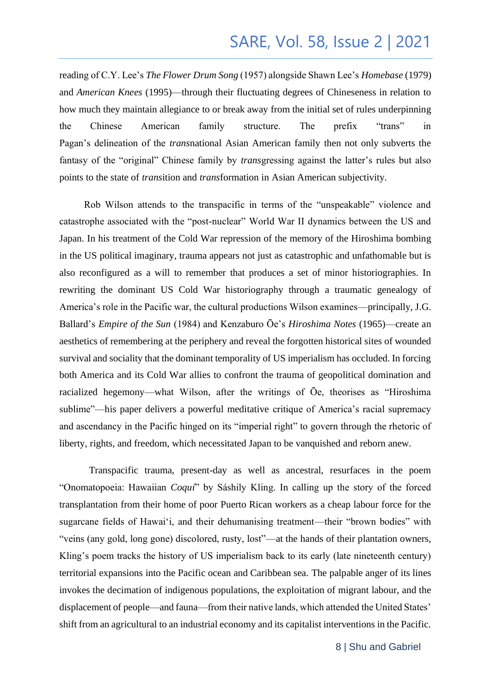reading of C.Y. Lee's *The Flower Drum Song* (1957) alongside Shawn Lee's *Homebase* (1979) and *American Knees* (1995)—through their fluctuating degrees of Chineseness in relation to how much they maintain allegiance to or break away from the initial set of rules underpinning the Chinese American family structure. The prefix "trans" in Pagan's delineation of the *trans*national Asian American family then not only subverts the fantasy of the "original" Chinese family by *trans*gressing against the latter's rules but also points to the state of *trans*ition and *trans*formation in Asian American subjectivity.

 Rob Wilson attends to the transpacific in terms of the "unspeakable" violence and catastrophe associated with the "post-nuclear" World War II dynamics between the US and Japan. In his treatment of the Cold War repression of the memory of the Hiroshima bombing in the US political imaginary, trauma appears not just as catastrophic and unfathomable but is also reconfigured as a will to remember that produces a set of minor historiographies. In rewriting the dominant US Cold War historiography through a traumatic genealogy of America's role in the Pacific war, the cultural productions Wilson examines—principally, J.G. Ballard's *Empire of the Sun* (1984) and Kenzaburo Ōe's *Hiroshima Notes* (1965)—create an aesthetics of remembering at the periphery and reveal the forgotten historical sites of wounded survival and sociality that the dominant temporality of US imperialism has occluded. In forcing both America and its Cold War allies to confront the trauma of geopolitical domination and racialized hegemony—what Wilson, after the writings of Ōe, theorises as "Hiroshima sublime"—his paper delivers a powerful meditative critique of America's racial supremacy and ascendancy in the Pacific hinged on its "imperial right" to govern through the rhetoric of liberty, rights, and freedom, which necessitated Japan to be vanquished and reborn anew.

Transpacific trauma, present-day as well as ancestral, resurfaces in the poem "Onomatopoeia: Hawaiian *Coquí*" by Sáshily Kling. In calling up the story of the forced transplantation from their home of poor Puerto Rican workers as a cheap labour force for the sugarcane fields of Hawai'i, and their dehumanising treatment—their "brown bodies" with "veins (any gold, long gone) discolored, rusty, lost"—at the hands of their plantation owners, Kling's poem tracks the history of US imperialism back to its early (late nineteenth century) territorial expansions into the Pacific ocean and Caribbean sea. The palpable anger of its lines invokes the decimation of indigenous populations, the exploitation of migrant labour, and the displacement of people—and fauna—from their native lands, which attended the United States' shift from an agricultural to an industrial economy and its capitalist interventions in the Pacific.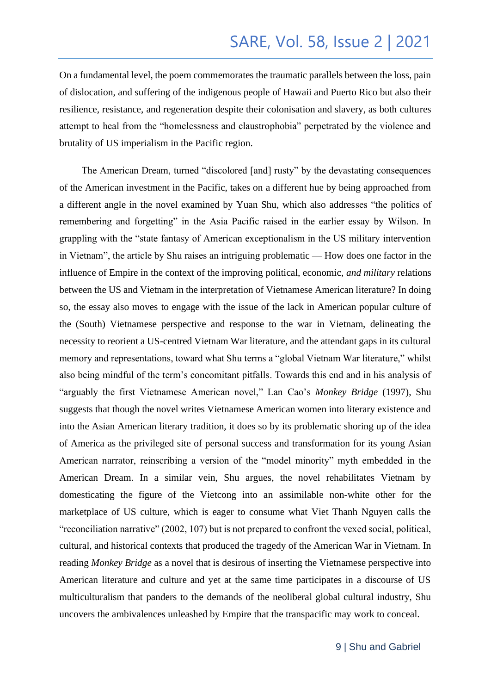On a fundamental level, the poem commemorates the traumatic parallels between the loss, pain of dislocation, and suffering of the indigenous people of Hawaii and Puerto Rico but also their resilience, resistance, and regeneration despite their colonisation and slavery, as both cultures attempt to heal from the "homelessness and claustrophobia" perpetrated by the violence and brutality of US imperialism in the Pacific region.

 The American Dream, turned "discolored [and] rusty" by the devastating consequences of the American investment in the Pacific, takes on a different hue by being approached from a different angle in the novel examined by Yuan Shu, which also addresses "the politics of remembering and forgetting" in the Asia Pacific raised in the earlier essay by Wilson. In grappling with the "state fantasy of American exceptionalism in the US military intervention in Vietnam", the article by Shu raises an intriguing problematic — How does one factor in the influence of Empire in the context of the improving political, economic, *and military* relations between the US and Vietnam in the interpretation of Vietnamese American literature? In doing so, the essay also moves to engage with the issue of the lack in American popular culture of the (South) Vietnamese perspective and response to the war in Vietnam, delineating the necessity to reorient a US-centred Vietnam War literature, and the attendant gaps in its cultural memory and representations, toward what Shu terms a "global Vietnam War literature," whilst also being mindful of the term's concomitant pitfalls. Towards this end and in his analysis of "arguably the first Vietnamese American novel," Lan Cao's *Monkey Bridge* (1997), Shu suggests that though the novel writes Vietnamese American women into literary existence and into the Asian American literary tradition, it does so by its problematic shoring up of the idea of America as the privileged site of personal success and transformation for its young Asian American narrator, reinscribing a version of the "model minority" myth embedded in the American Dream. In a similar vein, Shu argues, the novel rehabilitates Vietnam by domesticating the figure of the Vietcong into an assimilable non-white other for the marketplace of US culture, which is eager to consume what Viet Thanh Nguyen calls the "reconciliation narrative" (2002, 107) but is not prepared to confront the vexed social, political, cultural, and historical contexts that produced the tragedy of the American War in Vietnam. In reading *Monkey Bridge* as a novel that is desirous of inserting the Vietnamese perspective into American literature and culture and yet at the same time participates in a discourse of US multiculturalism that panders to the demands of the neoliberal global cultural industry, Shu uncovers the ambivalences unleashed by Empire that the transpacific may work to conceal.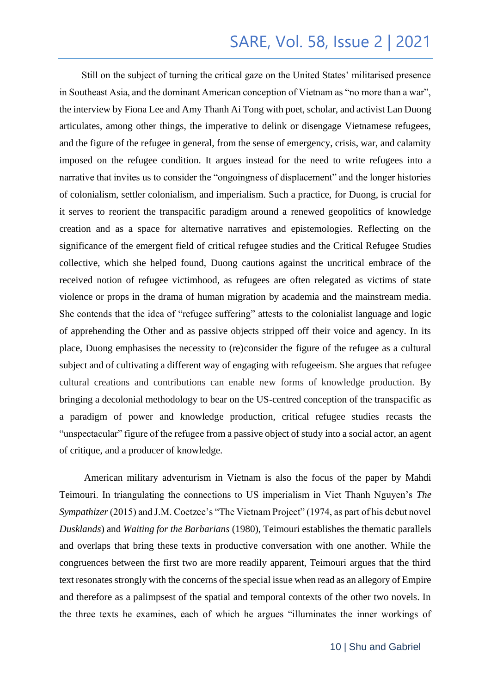Still on the subject of turning the critical gaze on the United States' militarised presence in Southeast Asia, and the dominant American conception of Vietnam as "no more than a war", the interview by Fiona Lee and Amy Thanh Ai Tong with poet, scholar, and activist Lan Duong articulates, among other things, the imperative to delink or disengage Vietnamese refugees, and the figure of the refugee in general, from the sense of emergency, crisis, war, and calamity imposed on the refugee condition. It argues instead for the need to write refugees into a narrative that invites us to consider the "ongoingness of displacement" and the longer histories of colonialism, settler colonialism, and imperialism. Such a practice, for Duong, is crucial for it serves to reorient the transpacific paradigm around a renewed geopolitics of knowledge creation and as a space for alternative narratives and epistemologies. Reflecting on the significance of the emergent field of critical refugee studies and the Critical Refugee Studies collective, which she helped found, Duong cautions against the uncritical embrace of the received notion of refugee victimhood, as refugees are often relegated as victims of state violence or props in the drama of human migration by academia and the mainstream media. She contends that the idea of "refugee suffering" attests to the colonialist language and logic of apprehending the Other and as passive objects stripped off their voice and agency. In its place, Duong emphasises the necessity to (re)consider the figure of the refugee as a cultural subject and of cultivating a different way of engaging with refugeeism. She argues that refugee cultural creations and contributions can enable new forms of knowledge production. By bringing a decolonial methodology to bear on the US-centred conception of the transpacific as a paradigm of power and knowledge production, critical refugee studies recasts the "unspectacular" figure of the refugee from a passive object of study into a social actor, an agent of critique, and a producer of knowledge.

 American military adventurism in Vietnam is also the focus of the paper by Mahdi Teimouri. In triangulating the connections to US imperialism in Viet Thanh Nguyen's *The Sympathizer* (2015) and J.M. Coetzee's "The Vietnam Project" (1974, as part of his debut novel *Dusklands*) and *Waiting for the Barbarians* (1980), Teimouri establishes the thematic parallels and overlaps that bring these texts in productive conversation with one another. While the congruences between the first two are more readily apparent, Teimouri argues that the third text resonates strongly with the concerns of the special issue when read as an allegory of Empire and therefore as a palimpsest of the spatial and temporal contexts of the other two novels. In the three texts he examines, each of which he argues "illuminates the inner workings of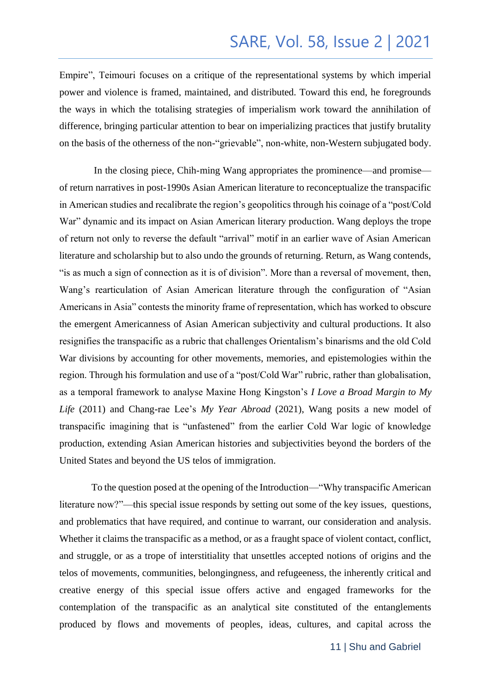Empire", Teimouri focuses on a critique of the representational systems by which imperial power and violence is framed, maintained, and distributed. Toward this end, he foregrounds the ways in which the totalising strategies of imperialism work toward the annihilation of difference, bringing particular attention to bear on imperializing practices that justify brutality on the basis of the otherness of the non-"grievable", non-white, non-Western subjugated body.

In the closing piece, Chih-ming Wang appropriates the prominence—and promise of return narratives in post-1990s Asian American literature to reconceptualize the transpacific in American studies and recalibrate the region's geopolitics through his coinage of a "post/Cold War" dynamic and its impact on Asian American literary production. Wang deploys the trope of return not only to reverse the default "arrival" motif in an earlier wave of Asian American literature and scholarship but to also undo the grounds of returning. Return, as Wang contends, "is as much a sign of connection as it is of division". More than a reversal of movement, then, Wang's rearticulation of Asian American literature through the configuration of "Asian Americans in Asia" contests the minority frame of representation, which has worked to obscure the emergent Americanness of Asian American subjectivity and cultural productions. It also resignifies the transpacific as a rubric that challenges Orientalism's binarisms and the old Cold War divisions by accounting for other movements, memories, and epistemologies within the region. Through his formulation and use of a "post/Cold War" rubric, rather than globalisation, as a temporal framework to analyse Maxine Hong Kingston's *I Love a Broad Margin to My Life* (2011) and Chang-rae Lee's *My Year Abroad* (2021), Wang posits a new model of transpacific imagining that is "unfastened" from the earlier Cold War logic of knowledge production, extending Asian American histories and subjectivities beyond the borders of the United States and beyond the US telos of immigration.

To the question posed at the opening of the Introduction—"Why transpacific American literature now?"—this special issue responds by setting out some of the key issues, questions, and problematics that have required, and continue to warrant, our consideration and analysis. Whether it claims the transpacific as a method, or as a fraught space of violent contact, conflict, and struggle, or as a trope of interstitiality that unsettles accepted notions of origins and the telos of movements, communities, belongingness, and refugeeness, the inherently critical and creative energy of this special issue offers active and engaged frameworks for the contemplation of the transpacific as an analytical site constituted of the entanglements produced by flows and movements of peoples, ideas, cultures, and capital across the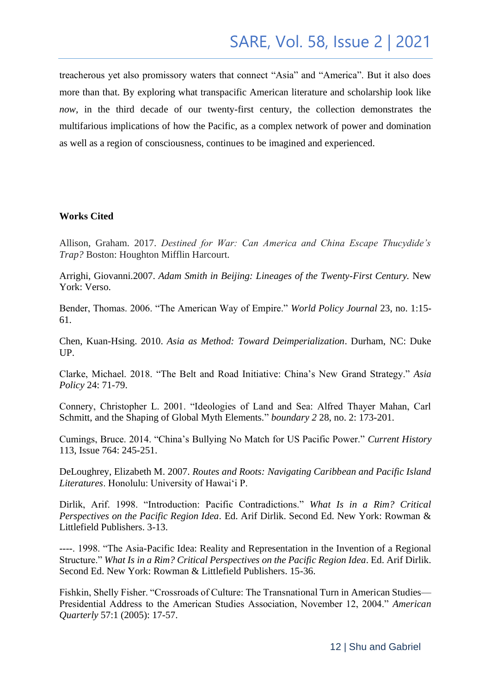treacherous yet also promissory waters that connect "Asia" and "America". But it also does more than that. By exploring what transpacific American literature and scholarship look like *now*, in the third decade of our twenty-first century, the collection demonstrates the multifarious implications of how the Pacific, as a complex network of power and domination as well as a region of consciousness, continues to be imagined and experienced.

#### **Works Cited**

Allison, Graham. 2017. *Destined for War: Can America and China Escape Thucydide's Trap?* Boston: Houghton Mifflin Harcourt.

Arrighi, Giovanni.2007. *Adam Smith in Beijing: Lineages of the Twenty-First Century.* New York: Verso.

Bender, Thomas. 2006. "The American Way of Empire." *World Policy Journal* 23, no. 1:15- 61.

Chen, Kuan-Hsing. 2010. *Asia as Method: Toward Deimperialization*. Durham, NC: Duke UP.

Clarke, Michael. 2018. "The Belt and Road Initiative: China's New Grand Strategy." *Asia Policy* 24: 71-79.

Connery, Christopher L. 2001. "Ideologies of Land and Sea: Alfred Thayer Mahan, Carl Schmitt, and the Shaping of Global Myth Elements*.*" *boundary 2* 28, no. 2: 173-201.

Cumings, Bruce. 2014. "China's Bullying No Match for US Pacific Power." *Current History* 113, Issue 764: 245-251.

DeLoughrey, Elizabeth M. 2007. *Routes and Roots: Navigating Caribbean and Pacific Island Literatures*. Honolulu: University of Hawai'i P.

Dirlik, Arif. 1998. "Introduction: Pacific Contradictions." *What Is in a Rim? Critical Perspectives on the Pacific Region Idea*. Ed. Arif Dirlik. Second Ed. New York: Rowman & Littlefield Publishers. 3-13.

----. 1998. "The Asia-Pacific Idea: Reality and Representation in the Invention of a Regional Structure." *What Is in a Rim? Critical Perspectives on the Pacific Region Idea*. Ed. Arif Dirlik. Second Ed. New York: Rowman & Littlefield Publishers. 15-36.

Fishkin, Shelly Fisher. "Crossroads of Culture: The Transnational Turn in American Studies— Presidential Address to the American Studies Association, November 12, 2004." *American Quarterly* 57:1 (2005): 17-57.